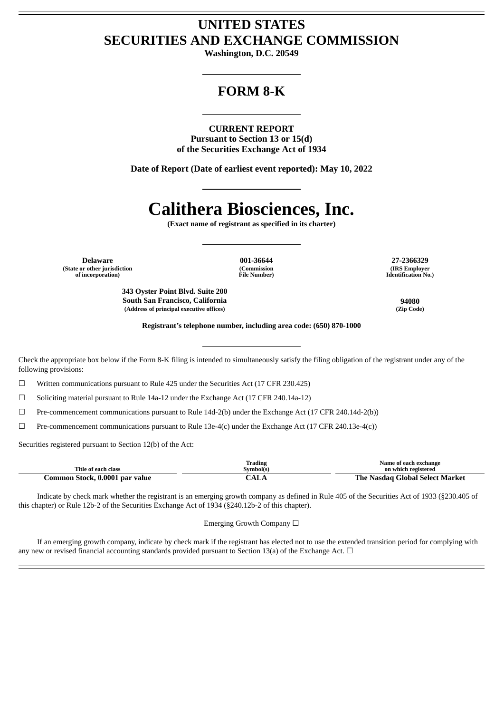# **UNITED STATES SECURITIES AND EXCHANGE COMMISSION**

**Washington, D.C. 20549**

# **FORM 8-K**

**CURRENT REPORT Pursuant to Section 13 or 15(d) of the Securities Exchange Act of 1934**

**Date of Report (Date of earliest event reported): May 10, 2022**

# **Calithera Biosciences, Inc.**

**(Exact name of registrant as specified in its charter)**

**Delaware 001-36644 27-2366329 (State or other jurisdiction of incorporation)**

**(Commission File Number)**

**(IRS Employer Identification No.)**

**South San Francisco, California 94080**

**Registrant's telephone number, including area code: (650) 870-1000**

Check the appropriate box below if the Form 8-K filing is intended to simultaneously satisfy the filing obligation of the registrant under any of the following provisions:

☐ Written communications pursuant to Rule 425 under the Securities Act (17 CFR 230.425)

**343 Oyster Point Blvd. Suite 200**

**(Address of principal executive offices) (Zip Code)**

☐ Soliciting material pursuant to Rule 14a-12 under the Exchange Act (17 CFR 240.14a-12)

☐ Pre-commencement communications pursuant to Rule 14d-2(b) under the Exchange Act (17 CFR 240.14d-2(b))

☐ Pre-commencement communications pursuant to Rule 13e-4(c) under the Exchange Act (17 CFR 240.13e-4(c))

Securities registered pursuant to Section 12(b) of the Act:

| Title of each class            | Trading<br>Symbol(s) | Name of each exchange<br>on which registered |  |
|--------------------------------|----------------------|----------------------------------------------|--|
| Common Stock, 0.0001 par value | $\mathcal{L}AL$      | The Nasdag Global Select Market              |  |

Indicate by check mark whether the registrant is an emerging growth company as defined in Rule 405 of the Securities Act of 1933 (§230.405 of this chapter) or Rule 12b-2 of the Securities Exchange Act of 1934 (§240.12b-2 of this chapter).

Emerging Growth Company ☐

If an emerging growth company, indicate by check mark if the registrant has elected not to use the extended transition period for complying with any new or revised financial accounting standards provided pursuant to Section 13(a) of the Exchange Act.  $\Box$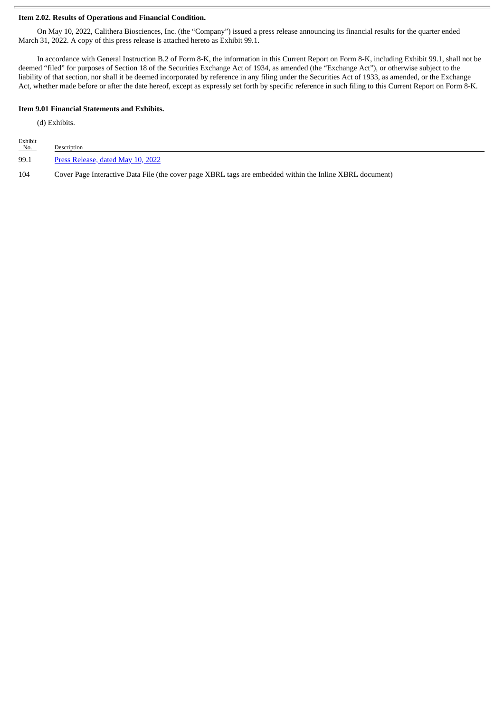## **Item 2.02. Results of Operations and Financial Condition.**

On May 10, 2022, Calithera Biosciences, Inc. (the "Company") issued a press release announcing its financial results for the quarter ended March 31, 2022. A copy of this press release is attached hereto as Exhibit 99.1.

In accordance with General Instruction B.2 of Form 8-K, the information in this Current Report on Form 8-K, including Exhibit 99.1, shall not be deemed "filed" for purposes of Section 18 of the Securities Exchange Act of 1934, as amended (the "Exchange Act"), or otherwise subject to the liability of that section, nor shall it be deemed incorporated by reference in any filing under the Securities Act of 1933, as amended, or the Exchange Act, whether made before or after the date hereof, except as expressly set forth by specific reference in such filing to this Current Report on Form 8-K.

#### **Item 9.01 Financial Statements and Exhibits.**

(d) Exhibits.

| Exhibit<br>No. | Description                                                                                              |
|----------------|----------------------------------------------------------------------------------------------------------|
| 99.1           | Press Release, dated May 10, 2022                                                                        |
| 104            | Cover Page Interactive Data File (the cover page XBRL tags are embedded within the Inline XBRL document) |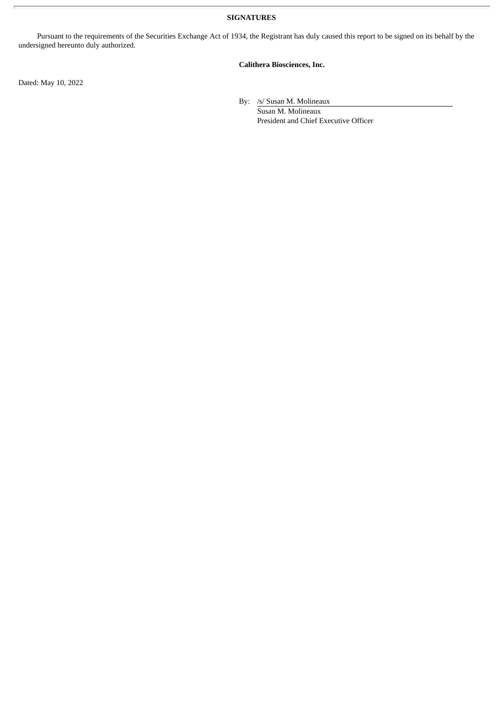**SIGNATURES**

Pursuant to the requirements of the Securities Exchange Act of 1934, the Registrant has duly caused this report to be signed on its behalf by the undersigned hereunto duly authorized.

# **Calithera Biosciences, Inc.**

Dated: May 10, 2022

By: /s/ Susan M. Molineaux

Susan M. Molineaux President and Chief Executive Officer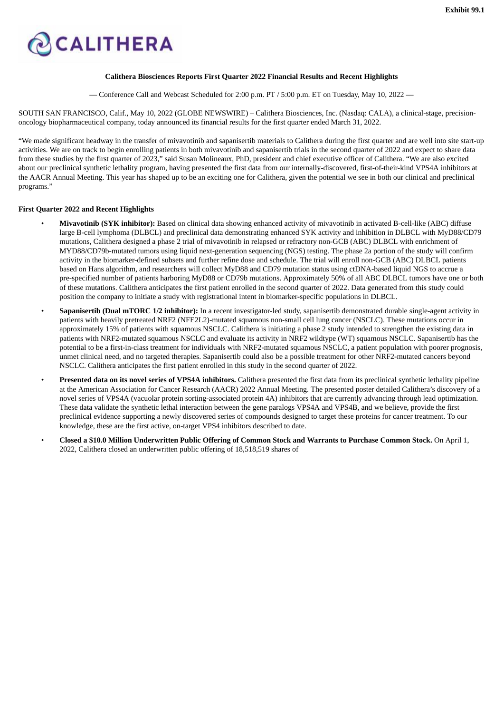<span id="page-3-0"></span>

#### **Calithera Biosciences Reports First Quarter 2022 Financial Results and Recent Highlights**

— Conference Call and Webcast Scheduled for 2:00 p.m. PT / 5:00 p.m. ET on Tuesday, May 10, 2022 —

SOUTH SAN FRANCISCO, Calif., May 10, 2022 (GLOBE NEWSWIRE) – Calithera Biosciences, Inc. (Nasdaq: CALA), a clinical-stage, precisiononcology biopharmaceutical company, today announced its financial results for the first quarter ended March 31, 2022.

"We made significant headway in the transfer of mivavotinib and sapanisertib materials to Calithera during the first quarter and are well into site start-up activities. We are on track to begin enrolling patients in both mivavotinib and sapanisertib trials in the second quarter of 2022 and expect to share data from these studies by the first quarter of 2023," said Susan Molineaux, PhD, president and chief executive officer of Calithera. "We are also excited about our preclinical synthetic lethality program, having presented the first data from our internally-discovered, first-of-their-kind VPS4A inhibitors at the AACR Annual Meeting. This year has shaped up to be an exciting one for Calithera, given the potential we see in both our clinical and preclinical programs."

## **First Quarter 2022 and Recent Highlights**

- **Mivavotinib (SYK inhibitor):** Based on clinical data showing enhanced activity of mivavotinib in activated B-cell-like (ABC) diffuse large B-cell lymphoma (DLBCL) and preclinical data demonstrating enhanced SYK activity and inhibition in DLBCL with MyD88/CD79 mutations, Calithera designed a phase 2 trial of mivavotinib in relapsed or refractory non-GCB (ABC) DLBCL with enrichment of MYD88/CD79b-mutated tumors using liquid next-generation sequencing (NGS) testing. The phase 2a portion of the study will confirm activity in the biomarker-defined subsets and further refine dose and schedule. The trial will enroll non-GCB (ABC) DLBCL patients based on Hans algorithm, and researchers will collect MyD88 and CD79 mutation status using ctDNA-based liquid NGS to accrue a pre-specified number of patients harboring MyD88 or CD79b mutations. Approximately 50% of all ABC DLBCL tumors have one or both of these mutations. Calithera anticipates the first patient enrolled in the second quarter of 2022. Data generated from this study could position the company to initiate a study with registrational intent in biomarker-specific populations in DLBCL.
- **Sapanisertib (Dual mTORC 1/2 inhibitor):** In a recent investigator-led study, sapanisertib demonstrated durable single-agent activity in patients with heavily pretreated NRF2 (NFE2L2)-mutated squamous non-small cell lung cancer (NSCLC). These mutations occur in approximately 15% of patients with squamous NSCLC. Calithera is initiating a phase 2 study intended to strengthen the existing data in patients with NRF2-mutated squamous NSCLC and evaluate its activity in NRF2 wildtype (WT) squamous NSCLC. Sapanisertib has the potential to be a first-in-class treatment for individuals with NRF2-mutated squamous NSCLC, a patient population with poorer prognosis, unmet clinical need, and no targeted therapies. Sapanisertib could also be a possible treatment for other NRF2-mutated cancers beyond NSCLC. Calithera anticipates the first patient enrolled in this study in the second quarter of 2022.
- **Presented data on its novel series of VPS4A inhibitors.** Calithera presented the first data from its preclinical synthetic lethality pipeline at the American Association for Cancer Research (AACR) 2022 Annual Meeting. The presented poster detailed Calithera's discovery of a novel series of VPS4A (vacuolar protein sorting-associated protein 4A) inhibitors that are currently advancing through lead optimization. These data validate the synthetic lethal interaction between the gene paralogs VPS4A and VPS4B, and we believe, provide the first preclinical evidence supporting a newly discovered series of compounds designed to target these proteins for cancer treatment. To our knowledge, these are the first active, on-target VPS4 inhibitors described to date.
- Closed a \$10.0 Million Underwritten Public Offering of Common Stock and Warrants to Purchase Common Stock. On April 1, 2022, Calithera closed an underwritten public offering of 18,518,519 shares of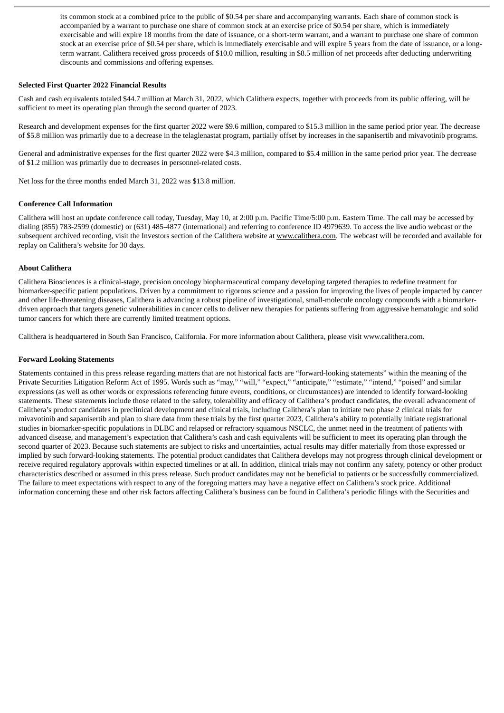its common stock at a combined price to the public of \$0.54 per share and accompanying warrants. Each share of common stock is accompanied by a warrant to purchase one share of common stock at an exercise price of \$0.54 per share, which is immediately exercisable and will expire 18 months from the date of issuance, or a short-term warrant, and a warrant to purchase one share of common stock at an exercise price of \$0.54 per share, which is immediately exercisable and will expire 5 years from the date of issuance, or a longterm warrant. Calithera received gross proceeds of \$10.0 million, resulting in \$8.5 million of net proceeds after deducting underwriting discounts and commissions and offering expenses.

#### **Selected First Quarter 2022 Financial Results**

Cash and cash equivalents totaled \$44.7 million at March 31, 2022, which Calithera expects, together with proceeds from its public offering, will be sufficient to meet its operating plan through the second quarter of 2023.

Research and development expenses for the first quarter 2022 were \$9.6 million, compared to \$15.3 million in the same period prior year. The decrease of \$5.8 million was primarily due to a decrease in the telaglenastat program, partially offset by increases in the sapanisertib and mivavotinib programs.

General and administrative expenses for the first quarter 2022 were \$4.3 million, compared to \$5.4 million in the same period prior year. The decrease of \$1.2 million was primarily due to decreases in personnel-related costs.

Net loss for the three months ended March 31, 2022 was \$13.8 million.

#### **Conference Call Information**

Calithera will host an update conference call today, Tuesday, May 10, at 2:00 p.m. Pacific Time/5:00 p.m. Eastern Time. The call may be accessed by dialing (855) 783-2599 (domestic) or (631) 485-4877 (international) and referring to conference ID 4979639. To access the live audio webcast or the subsequent archived recording, visit the Investors section of the Calithera website at www.calithera.com. The webcast will be recorded and available for replay on Calithera's website for 30 days.

#### **About Calithera**

Calithera Biosciences is a clinical-stage, precision oncology biopharmaceutical company developing targeted therapies to redefine treatment for biomarker-specific patient populations. Driven by a commitment to rigorous science and a passion for improving the lives of people impacted by cancer and other life-threatening diseases, Calithera is advancing a robust pipeline of investigational, small-molecule oncology compounds with a biomarkerdriven approach that targets genetic vulnerabilities in cancer cells to deliver new therapies for patients suffering from aggressive hematologic and solid tumor cancers for which there are currently limited treatment options.

Calithera is headquartered in South San Francisco, California. For more information about Calithera, please visit www.calithera.com.

#### **Forward Looking Statements**

Statements contained in this press release regarding matters that are not historical facts are "forward-looking statements" within the meaning of the Private Securities Litigation Reform Act of 1995. Words such as "may," "will," "expect," "anticipate," "estimate," "intend," "poised" and similar expressions (as well as other words or expressions referencing future events, conditions, or circumstances) are intended to identify forward-looking statements. These statements include those related to the safety, tolerability and efficacy of Calithera's product candidates, the overall advancement of Calithera's product candidates in preclinical development and clinical trials, including Calithera's plan to initiate two phase 2 clinical trials for mivavotinib and sapanisertib and plan to share data from these trials by the first quarter 2023, Calithera's ability to potentially initiate registrational studies in biomarker-specific populations in DLBC and relapsed or refractory squamous NSCLC, the unmet need in the treatment of patients with advanced disease, and management's expectation that Calithera's cash and cash equivalents will be sufficient to meet its operating plan through the second quarter of 2023. Because such statements are subject to risks and uncertainties, actual results may differ materially from those expressed or implied by such forward-looking statements. The potential product candidates that Calithera develops may not progress through clinical development or receive required regulatory approvals within expected timelines or at all. In addition, clinical trials may not confirm any safety, potency or other product characteristics described or assumed in this press release. Such product candidates may not be beneficial to patients or be successfully commercialized. The failure to meet expectations with respect to any of the foregoing matters may have a negative effect on Calithera's stock price. Additional information concerning these and other risk factors affecting Calithera's business can be found in Calithera's periodic filings with the Securities and